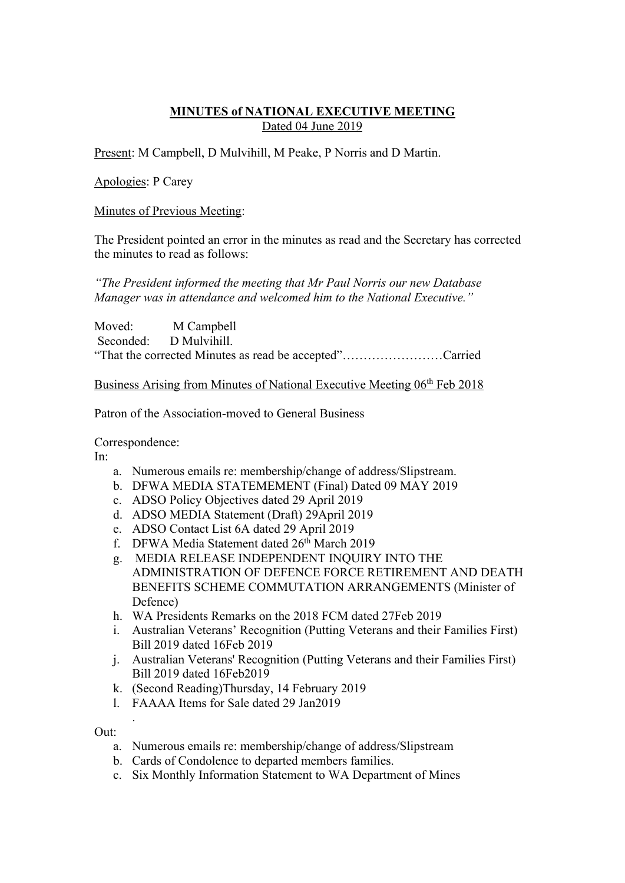## **MINUTES of NATIONAL EXECUTIVE MEETING**  Dated 04 June 2019

Present: M Campbell, D Mulvihill, M Peake, P Norris and D Martin.

Apologies: P Carey

#### Minutes of Previous Meeting:

The President pointed an error in the minutes as read and the Secretary has corrected the minutes to read as follows:

*"The President informed the meeting that Mr Paul Norris our new Database Manager was in attendance and welcomed him to the National Executive."*

Moved: M Campbell Seconded: D Mulvihill. "That the corrected Minutes as read be accepted"……………………Carried

Business Arising from Minutes of National Executive Meeting 06<sup>th</sup> Feb 2018

Patron of the Association-moved to General Business

Correspondence:

In:

- a. Numerous emails re: membership/change of address/Slipstream.
- b. DFWA MEDIA STATEMEMENT (Final) Dated 09 MAY 2019
- c. ADSO Policy Objectives dated 29 April 2019
- d. ADSO MEDIA Statement (Draft) 29April 2019
- e. ADSO Contact List 6A dated 29 April 2019
- f. DFWA Media Statement dated 26<sup>th</sup> March 2019
- g. MEDIA RELEASE INDEPENDENT INQUIRY INTO THE ADMINISTRATION OF DEFENCE FORCE RETIREMENT AND DEATH BENEFITS SCHEME COMMUTATION ARRANGEMENTS (Minister of Defence)
- h. WA Presidents Remarks on the 2018 FCM dated 27Feb 2019
- i. Australian Veterans' Recognition (Putting Veterans and their Families First) Bill 2019 dated 16Feb 2019
- j. Australian Veterans' Recognition (Putting Veterans and their Families First) Bill 2019 dated 16Feb2019
- k. (Second Reading)Thursday, 14 February 2019
- l. FAAAA Items for Sale dated 29 Jan2019

Out:

.

- a. Numerous emails re: membership/change of address/Slipstream
- b. Cards of Condolence to departed members families.
- c. Six Monthly Information Statement to WA Department of Mines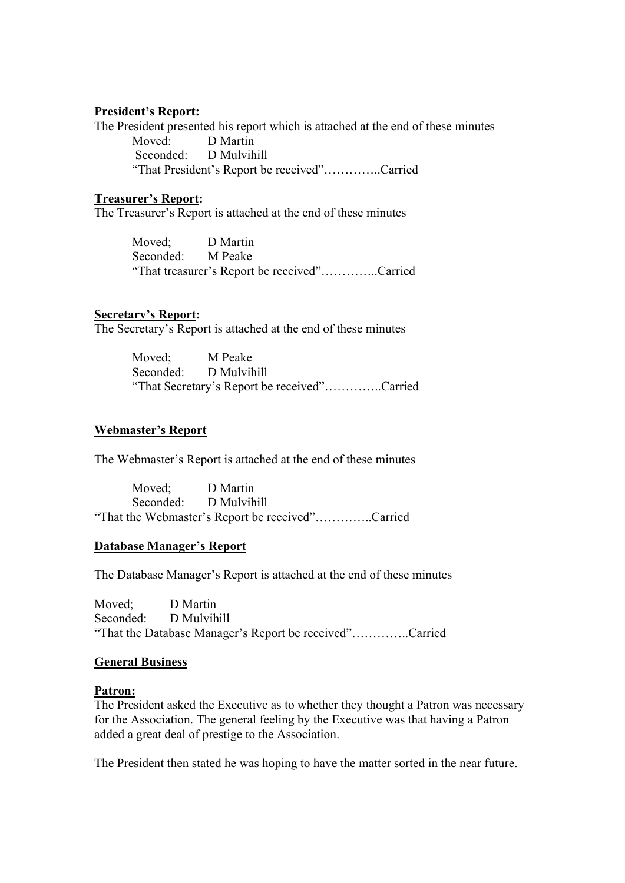#### **President's Report:**

The President presented his report which is attached at the end of these minutes Moved: D Martin Seconded: D Mulvihill "That President's Report be received"…………..Carried

#### **Treasurer's Report:**

The Treasurer's Report is attached at the end of these minutes

Moved; D Martin Seconded: M Peake "That treasurer's Report be received"…………..Carried

#### **Secretary's Report:**

The Secretary's Report is attached at the end of these minutes

Moved; M Peake Seconded: D Mulvihill "That Secretary's Report be received"…………..Carried

#### **Webmaster's Report**

The Webmaster's Report is attached at the end of these minutes

Moved; D Martin Seconded: D Mulvihill "That the Webmaster's Report be received"…………..Carried

#### **Database Manager's Report**

The Database Manager's Report is attached at the end of these minutes

Moved; D Martin Seconded: D Mulvihill "That the Database Manager's Report be received"…………..Carried

#### **General Business**

#### **Patron:**

The President asked the Executive as to whether they thought a Patron was necessary for the Association. The general feeling by the Executive was that having a Patron added a great deal of prestige to the Association.

The President then stated he was hoping to have the matter sorted in the near future.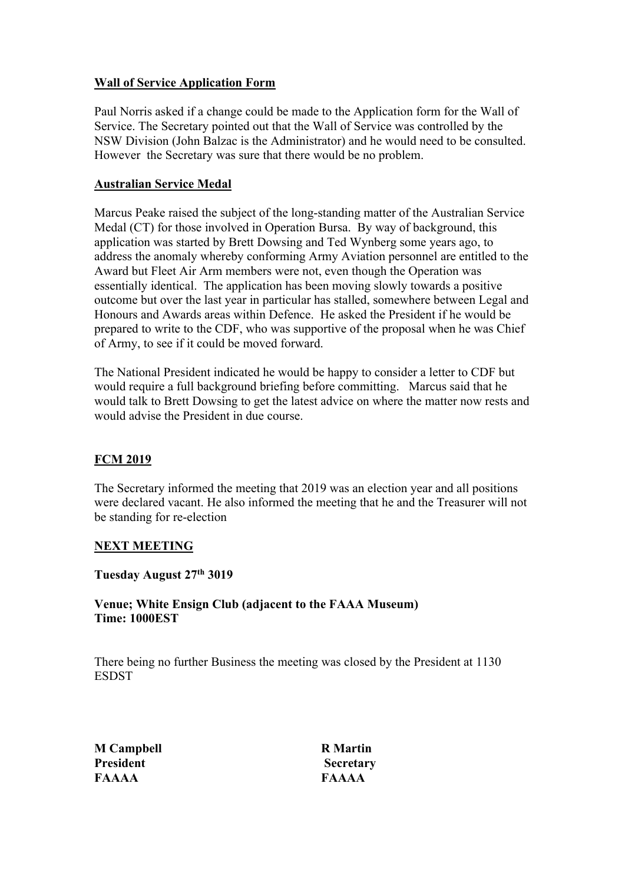## **Wall of Service Application Form**

Paul Norris asked if a change could be made to the Application form for the Wall of Service. The Secretary pointed out that the Wall of Service was controlled by the NSW Division (John Balzac is the Administrator) and he would need to be consulted. However the Secretary was sure that there would be no problem.

## **Australian Service Medal**

Marcus Peake raised the subject of the long-standing matter of the Australian Service Medal (CT) for those involved in Operation Bursa. By way of background, this application was started by Brett Dowsing and Ted Wynberg some years ago, to address the anomaly whereby conforming Army Aviation personnel are entitled to the Award but Fleet Air Arm members were not, even though the Operation was essentially identical. The application has been moving slowly towards a positive outcome but over the last year in particular has stalled, somewhere between Legal and Honours and Awards areas within Defence. He asked the President if he would be prepared to write to the CDF, who was supportive of the proposal when he was Chief of Army, to see if it could be moved forward.

The National President indicated he would be happy to consider a letter to CDF but would require a full background briefing before committing. Marcus said that he would talk to Brett Dowsing to get the latest advice on where the matter now rests and would advise the President in due course.

# **FCM 2019**

The Secretary informed the meeting that 2019 was an election year and all positions were declared vacant. He also informed the meeting that he and the Treasurer will not be standing for re-election

# **NEXT MEETING**

**Tuesday August 27th 3019**

**Venue; White Ensign Club (adjacent to the FAAA Museum) Time: 1000EST**

There being no further Business the meeting was closed by the President at 1130 **ESDST** 

**M Campbell R Martin President Secretary FAAAA FAAAA**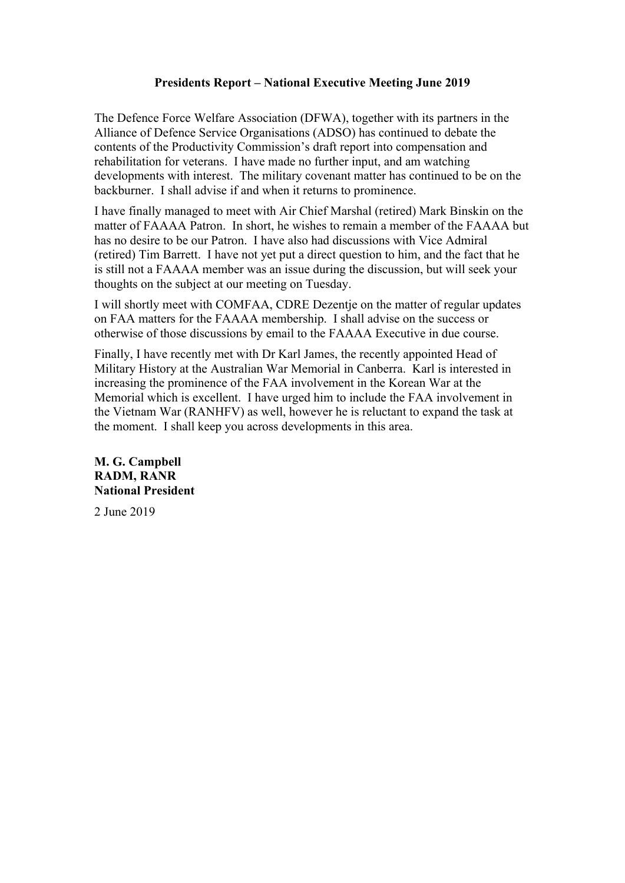### **Presidents Report – National Executive Meeting June 2019**

The Defence Force Welfare Association (DFWA), together with its partners in the Alliance of Defence Service Organisations (ADSO) has continued to debate the contents of the Productivity Commission's draft report into compensation and rehabilitation for veterans. I have made no further input, and am watching developments with interest. The military covenant matter has continued to be on the backburner. I shall advise if and when it returns to prominence.

I have finally managed to meet with Air Chief Marshal (retired) Mark Binskin on the matter of FAAAA Patron. In short, he wishes to remain a member of the FAAAA but has no desire to be our Patron. I have also had discussions with Vice Admiral (retired) Tim Barrett. I have not yet put a direct question to him, and the fact that he is still not a FAAAA member was an issue during the discussion, but will seek your thoughts on the subject at our meeting on Tuesday.

I will shortly meet with COMFAA, CDRE Dezentje on the matter of regular updates on FAA matters for the FAAAA membership. I shall advise on the success or otherwise of those discussions by email to the FAAAA Executive in due course.

Finally, I have recently met with Dr Karl James, the recently appointed Head of Military History at the Australian War Memorial in Canberra. Karl is interested in increasing the prominence of the FAA involvement in the Korean War at the Memorial which is excellent. I have urged him to include the FAA involvement in the Vietnam War (RANHFV) as well, however he is reluctant to expand the task at the moment. I shall keep you across developments in this area.

**M. G. Campbell RADM, RANR National President**

2 June 2019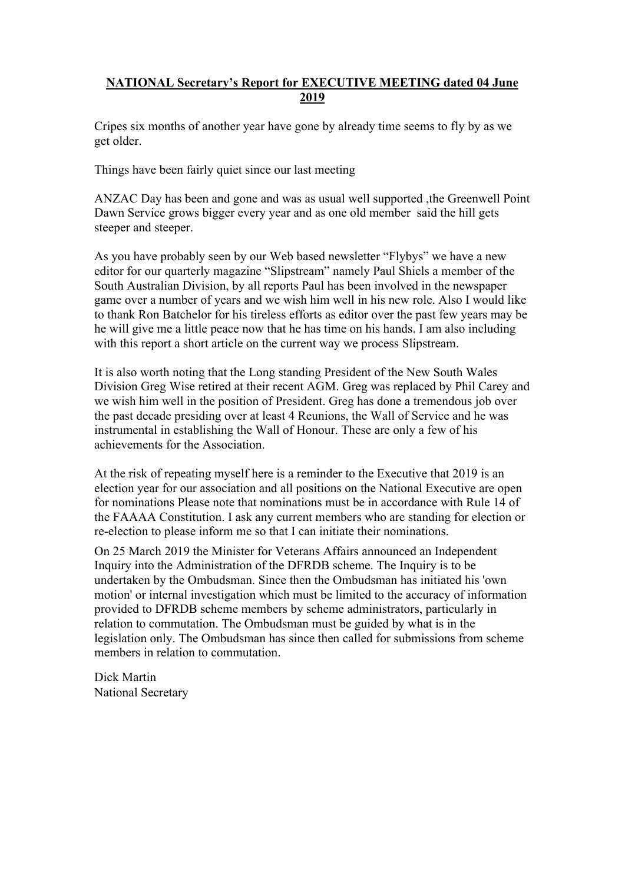## **NATIONAL Secretary's Report for EXECUTIVE MEETING dated 04 June 2019**

Cripes six months of another year have gone by already time seems to fly by as we get older.

Things have been fairly quiet since our last meeting

ANZAC Day has been and gone and was as usual well supported ,the Greenwell Point Dawn Service grows bigger every year and as one old member said the hill gets steeper and steeper.

As you have probably seen by our Web based newsletter "Flybys" we have a new editor for our quarterly magazine "Slipstream" namely Paul Shiels a member of the South Australian Division, by all reports Paul has been involved in the newspaper game over a number of years and we wish him well in his new role. Also I would like to thank Ron Batchelor for his tireless efforts as editor over the past few years may be he will give me a little peace now that he has time on his hands. I am also including with this report a short article on the current way we process Slipstream.

It is also worth noting that the Long standing President of the New South Wales Division Greg Wise retired at their recent AGM. Greg was replaced by Phil Carey and we wish him well in the position of President. Greg has done a tremendous job over the past decade presiding over at least 4 Reunions, the Wall of Service and he was instrumental in establishing the Wall of Honour. These are only a few of his achievements for the Association.

At the risk of repeating myself here is a reminder to the Executive that 2019 is an election year for our association and all positions on the National Executive are open for nominations Please note that nominations must be in accordance with Rule 14 of the FAAAA Constitution. I ask any current members who are standing for election or re-election to please inform me so that I can initiate their nominations.

On 25 March 2019 the Minister for Veterans Affairs announced an Independent Inquiry into the Administration of the DFRDB scheme. The Inquiry is to be undertaken by the Ombudsman. Since then the Ombudsman has initiated his 'own motion' or internal investigation which must be limited to the accuracy of information provided to DFRDB scheme members by scheme administrators, particularly in relation to commutation. The Ombudsman must be guided by what is in the legislation only. The Ombudsman has since then called for submissions from scheme members in relation to commutation.

Dick Martin National Secretary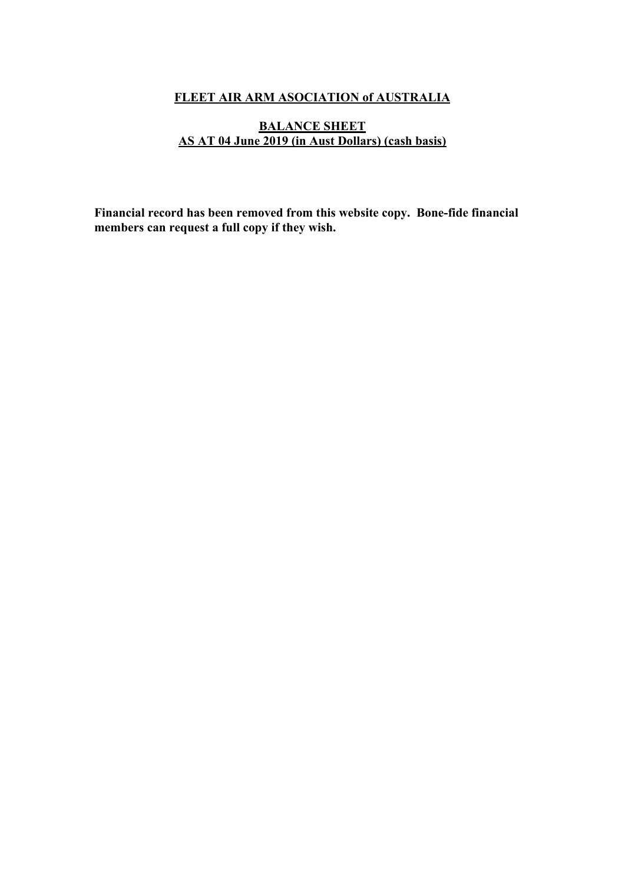# **FLEET AIR ARM ASOCIATION of AUSTRALIA**

## **BALANCE SHEET AS AT 04 June 2019 (in Aust Dollars) (cash basis)**

**Financial record has been removed from this website copy. Bone-fide financial members can request a full copy if they wish.**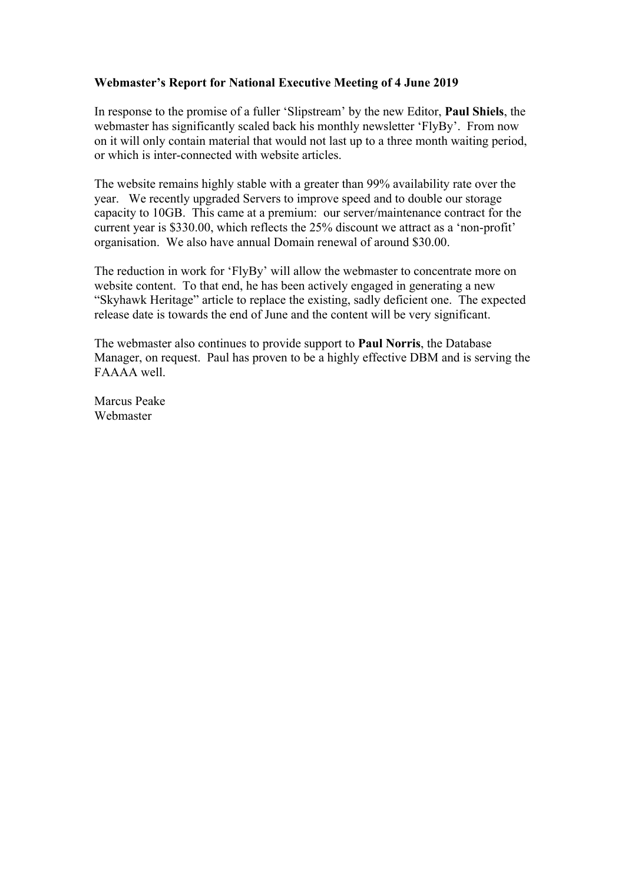### **Webmaster's Report for National Executive Meeting of 4 June 2019**

In response to the promise of a fuller 'Slipstream' by the new Editor, **Paul Shiels**, the webmaster has significantly scaled back his monthly newsletter 'FlyBy'. From now on it will only contain material that would not last up to a three month waiting period, or which is inter-connected with website articles.

The website remains highly stable with a greater than 99% availability rate over the year. We recently upgraded Servers to improve speed and to double our storage capacity to 10GB. This came at a premium: our server/maintenance contract for the current year is \$330.00, which reflects the 25% discount we attract as a 'non-profit' organisation. We also have annual Domain renewal of around \$30.00.

The reduction in work for 'FlyBy' will allow the webmaster to concentrate more on website content. To that end, he has been actively engaged in generating a new "Skyhawk Heritage" article to replace the existing, sadly deficient one. The expected release date is towards the end of June and the content will be very significant.

The webmaster also continues to provide support to **Paul Norris**, the Database Manager, on request. Paul has proven to be a highly effective DBM and is serving the FAAAA well.

Marcus Peake Webmaster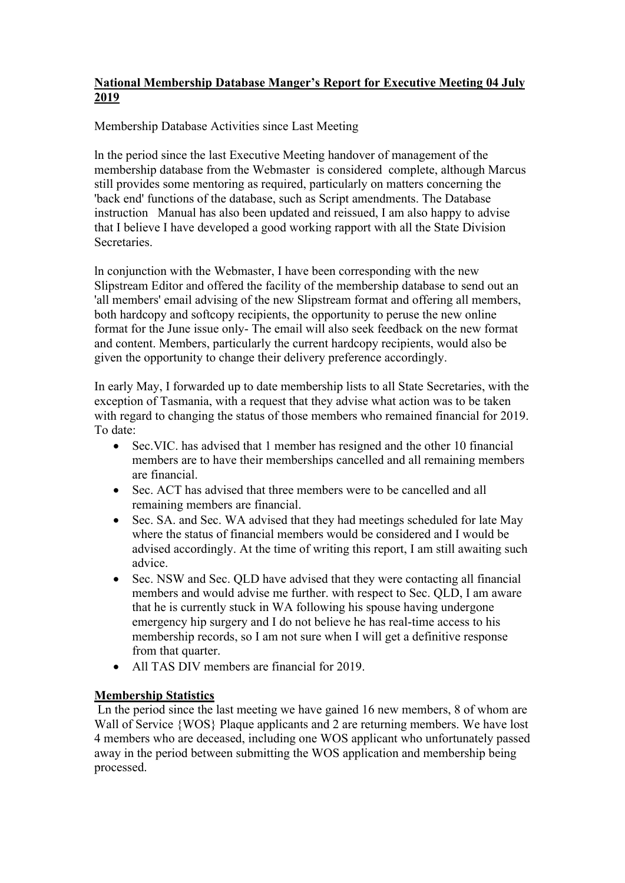## **National Membership Database Manger's Report for Executive Meeting 04 July 2019**

Membership Database Activities since Last Meeting

ln the period since the last Executive Meeting handover of management of the membership database from the Webmaster is considered complete, although Marcus still provides some mentoring as required, particularly on matters concerning the 'back end' functions of the database, such as Script amendments. The Database instruction Manual has also been updated and reissued, I am also happy to advise that I believe I have developed a good working rapport with all the State Division Secretaries.

ln conjunction with the Webmaster, I have been corresponding with the new Slipstream Editor and offered the facility of the membership database to send out an 'all members' email advising of the new Slipstream format and offering all members, both hardcopy and softcopy recipients, the opportunity to peruse the new online format for the June issue only- The email will also seek feedback on the new format and content. Members, particularly the current hardcopy recipients, would also be given the opportunity to change their delivery preference accordingly.

In early May, I forwarded up to date membership lists to all State Secretaries, with the exception of Tasmania, with a request that they advise what action was to be taken with regard to changing the status of those members who remained financial for 2019. To date:

- Sec. VIC. has advised that 1 member has resigned and the other 10 financial members are to have their memberships cancelled and all remaining members are financial.
- Sec. ACT has advised that three members were to be cancelled and all remaining members are financial.
- Sec. SA. and Sec. WA advised that they had meetings scheduled for late May where the status of financial members would be considered and I would be advised accordingly. At the time of writing this report, I am still awaiting such advice.
- Sec. NSW and Sec. QLD have advised that they were contacting all financial members and would advise me further. with respect to Sec. QLD, I am aware that he is currently stuck in WA following his spouse having undergone emergency hip surgery and I do not believe he has real-time access to his membership records, so I am not sure when I will get a definitive response from that quarter.
- All TAS DIV members are financial for 2019.

## **Membership Statistics**

Ln the period since the last meeting we have gained 16 new members, 8 of whom are Wall of Service {WOS} Plaque applicants and 2 are returning members. We have lost 4 members who are deceased, including one WOS applicant who unfortunately passed away in the period between submitting the WOS application and membership being processed.